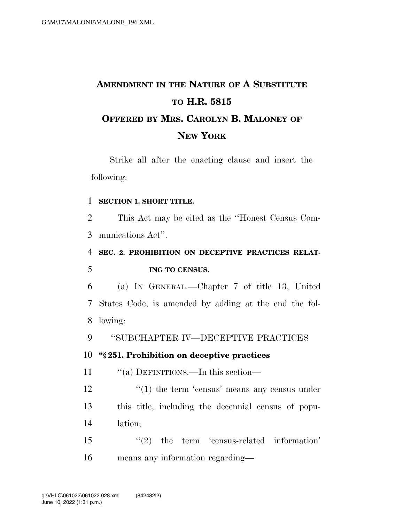# **AMENDMENT IN THE NATURE OF A SUBSTITUTE TO H.R. 5815 OFFERED BY MRS. CAROLYN B. MALONEY OF NEW YORK**

Strike all after the enacting clause and insert the following:

#### 1 **SECTION 1. SHORT TITLE.**

2 This Act may be cited as the ''Honest Census Com-3 munications Act''.

## 4 **SEC. 2. PROHIBITION ON DECEPTIVE PRACTICES RELAT-**5 **ING TO CENSUS.**

6 (a) IN GENERAL.—Chapter 7 of title 13, United 7 States Code, is amended by adding at the end the fol-8 lowing:

9 ''SUBCHAPTER IV—DECEPTIVE PRACTICES

### 10 **''§ 251. Prohibition on deceptive practices**

11 "(a) DEFINITIONS.—In this section—

 $12$  ''(1) the term 'census' means any census under 13 this title, including the decennial census of popu-14 lation;

15  $\frac{1}{2}$  the term 'census-related information' 16 means any information regarding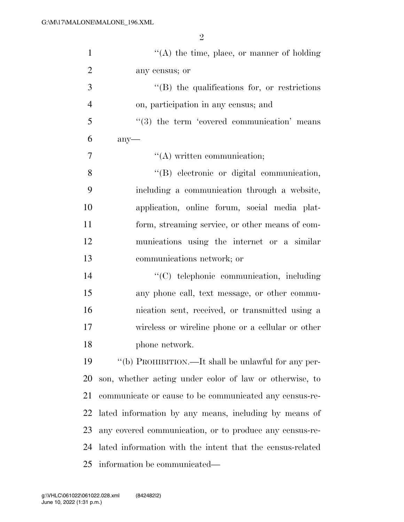| $\mathbf{1}$   | $\lq\lq$ the time, place, or manner of holding            |
|----------------|-----------------------------------------------------------|
| $\overline{2}$ | any census; or                                            |
| 3              | $\lq\lq$ the qualifications for, or restrictions          |
| $\overline{4}$ | on, participation in any census; and                      |
| 5              | $\cdot$ (3) the term 'covered communication' means        |
| 6              | $any$ —                                                   |
| 7              | $\lq\lq$ written communication;                           |
| 8              | "(B) electronic or digital communication,                 |
| 9              | including a communication through a website,              |
| 10             | application, online forum, social media plat-             |
| 11             | form, streaming service, or other means of com-           |
| 12             | munications using the internet or a similar               |
| 13             | communications network; or                                |
| 14             | "(C) telephonic communication, including                  |
| 15             | any phone call, text message, or other commu-             |
| 16             | nication sent, received, or transmitted using a           |
| 17             | wireless or wireline phone or a cellular or other         |
| 18             | phone network.                                            |
| 19             | "(b) PROHIBITION.—It shall be unlawful for any per-       |
| 20             | son, whether acting under color of law or otherwise, to   |
| 21             | communicate or cause to be communicated any census-re-    |
| 22             | lated information by any means, including by means of     |
| 23             | any covered communication, or to produce any census-re-   |
| 24             | lated information with the intent that the census-related |
| 25             | information be communicated—                              |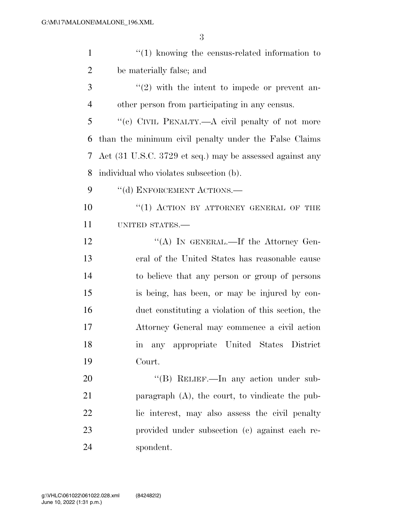| $\mathbf{1}$   | $\cdot\cdot\cdot(1)$ knowing the census-related information to |
|----------------|----------------------------------------------------------------|
| $\overline{2}$ | be materially false; and                                       |
| 3              | $\lq(2)$ with the intent to impede or prevent an-              |
| $\overline{4}$ | other person from participating in any census.                 |
| 5              | "(c) CIVIL PENALTY.—A civil penalty of not more                |
| 6              | than the minimum civil penalty under the False Claims          |
| 7              | Act (31 U.S.C. 3729 et seq.) may be assessed against any       |
| 8              | individual who violates subsection (b).                        |
| 9              | "(d) ENFORCEMENT ACTIONS.-                                     |
| 10             | "(1) ACTION BY ATTORNEY GENERAL OF THE                         |
| 11             | UNITED STATES.-                                                |
| 12             | "(A) IN GENERAL.—If the Attorney Gen-                          |
| 13             | eral of the United States has reasonable cause                 |
| 14             | to believe that any person or group of persons                 |
| 15             | is being, has been, or may be injured by con-                  |
| 16             | duct constituting a violation of this section, the             |
| 17             | Attorney General may commence a civil action                   |
| 18             | any appropriate United States District<br>m                    |
| 19             | Court.                                                         |
| 20             | "(B) RELIEF.—In any action under sub-                          |
| 21             | paragraph $(A)$ , the court, to vindicate the pub-             |
| 22             | lic interest, may also assess the civil penalty                |
| 23             | provided under subsection (c) against each re-                 |
| 24             | spondent.                                                      |